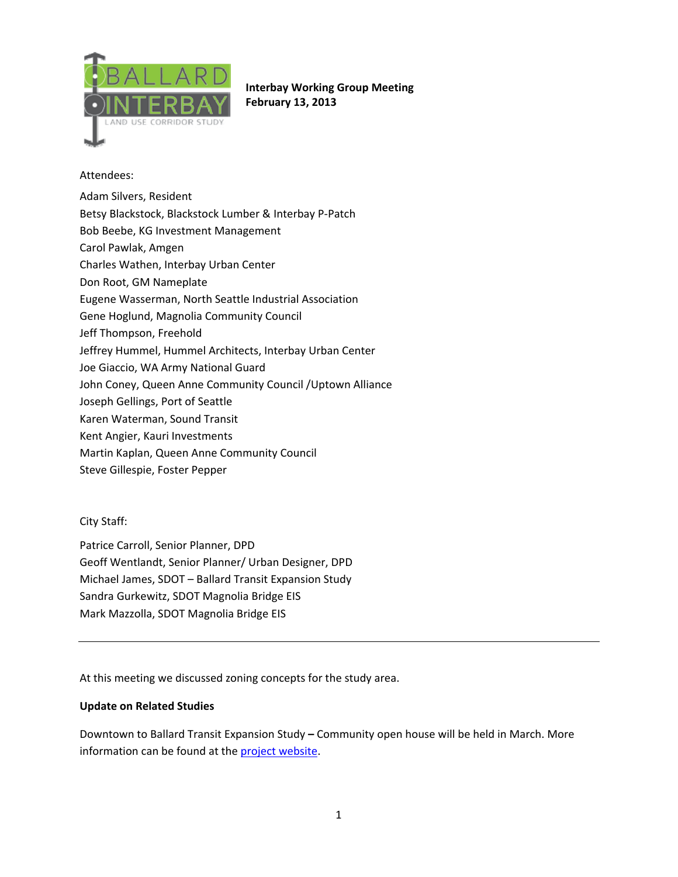

**Interbay Working Group Meeting February 13, 2013**

### Attendees:

- Adam Silvers, Resident Betsy Blackstock, Blackstock Lumber & Interbay P‐Patch Bob Beebe, KG Investment Management Carol Pawlak, Amgen Charles Wathen, Interbay Urban Center Don Root, GM Nameplate Eugene Wasserman, North Seattle Industrial Association Gene Hoglund, Magnolia Community Council Jeff Thompson, Freehold Jeffrey Hummel, Hummel Architects, Interbay Urban Center Joe Giaccio, WA Army National Guard John Coney, Queen Anne Community Council /Uptown Alliance Joseph Gellings, Port of Seattle Karen Waterman, Sound Transit Kent Angier, Kauri Investments Martin Kaplan, Queen Anne Community Council
- Steve Gillespie, Foster Pepper

# City Staff:

Patrice Carroll, Senior Planner, DPD Geoff Wentlandt, Senior Planner/ Urban Designer, DPD Michael James, SDOT – Ballard Transit Expansion Study Sandra Gurkewitz, SDOT Magnolia Bridge EIS Mark Mazzolla, SDOT Magnolia Bridge EIS

At this meeting we discussed zoning concepts for the study area.

#### **Update on Related Studies**

Downtown to Ballard Transit Expansion Study **–** Community open house will be held in March. More information can be found at the project website.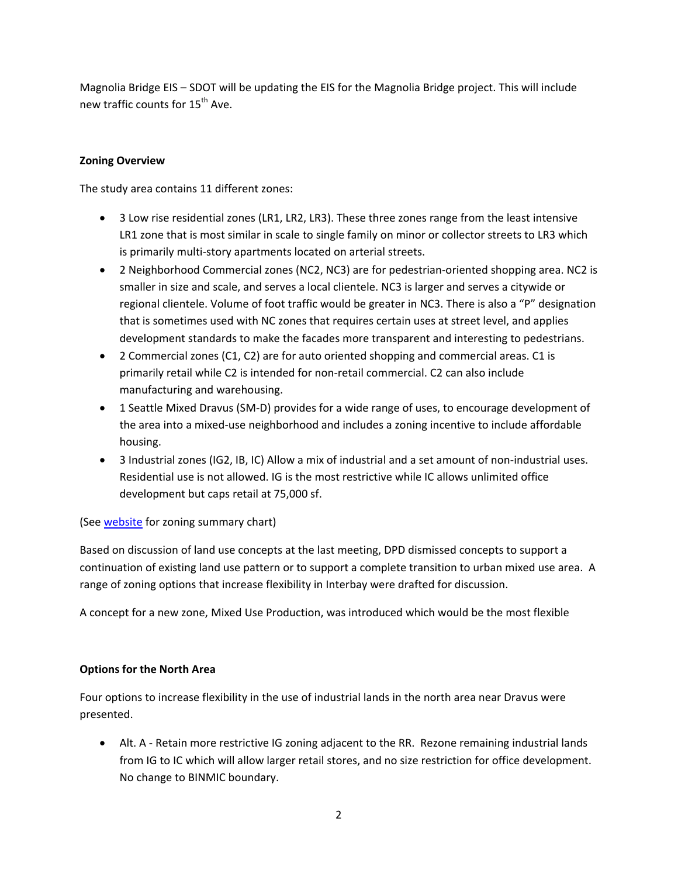Magnolia Bridge EIS – SDOT will be updating the EIS for the Magnolia Bridge project. This will include new traffic counts for 15<sup>th</sup> Ave.

### **Zoning Overview**

The study area contains 11 different zones:

- 3 Low rise residential zones (LR1, LR2, LR3). These three zones range from the least intensive LR1 zone that is most similar in scale to single family on minor or collector streets to LR3 which is primarily multi‐story apartments located on arterial streets.
- 2 Neighborhood Commercial zones (NC2, NC3) are for pedestrian‐oriented shopping area. NC2 is smaller in size and scale, and serves a local clientele. NC3 is larger and serves a citywide or regional clientele. Volume of foot traffic would be greater in NC3. There is also a "P" designation that is sometimes used with NC zones that requires certain uses at street level, and applies development standards to make the facades more transparent and interesting to pedestrians.
- 2 Commercial zones (C1, C2) are for auto oriented shopping and commercial areas. C1 is primarily retail while C2 is intended for non‐retail commercial. C2 can also include manufacturing and warehousing.
- 1 Seattle Mixed Dravus (SM-D) provides for a wide range of uses, to encourage development of the area into a mixed‐use neighborhood and includes a zoning incentive to include affordable housing.
- 3 Industrial zones (IG2, IB, IC) Allow a mix of industrial and a set amount of non‐industrial uses. Residential use is not allowed. IG is the most restrictive while IC allows unlimited office development but caps retail at 75,000 sf.

# (See website for zoning summary chart)

Based on discussion of land use concepts at the last meeting, DPD dismissed concepts to support a continuation of existing land use pattern or to support a complete transition to urban mixed use area. A range of zoning options that increase flexibility in Interbay were drafted for discussion.

A concept for a new zone, Mixed Use Production, was introduced which would be the most flexible

#### **Options for the North Area**

Four options to increase flexibility in the use of industrial lands in the north area near Dravus were presented.

• Alt. A - Retain more restrictive IG zoning adjacent to the RR. Rezone remaining industrial lands from IG to IC which will allow larger retail stores, and no size restriction for office development. No change to BINMIC boundary.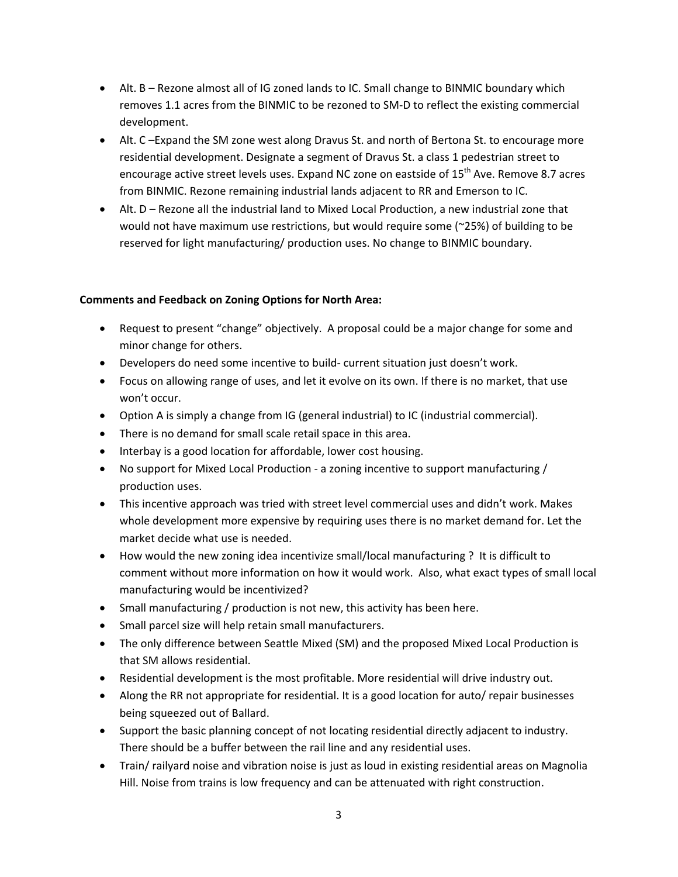- Alt. B Rezone almost all of IG zoned lands to IC. Small change to BINMIC boundary which removes 1.1 acres from the BINMIC to be rezoned to SM‐D to reflect the existing commercial development.
- Alt. C –Expand the SM zone west along Dravus St. and north of Bertona St. to encourage more residential development. Designate a segment of Dravus St. a class 1 pedestrian street to encourage active street levels uses. Expand NC zone on eastside of 15<sup>th</sup> Ave. Remove 8.7 acres from BINMIC. Rezone remaining industrial lands adjacent to RR and Emerson to IC.
- Alt. D Rezone all the industrial land to Mixed Local Production, a new industrial zone that would not have maximum use restrictions, but would require some (~25%) of building to be reserved for light manufacturing/ production uses. No change to BINMIC boundary.

### **Comments and Feedback on Zoning Options for North Area:**

- Request to present "change" objectively. A proposal could be a major change for some and minor change for others.
- Developers do need some incentive to build- current situation just doesn't work.
- Focus on allowing range of uses, and let it evolve on its own. If there is no market, that use won't occur.
- Option A is simply a change from IG (general industrial) to IC (industrial commercial).
- There is no demand for small scale retail space in this area.
- Interbay is a good location for affordable, lower cost housing.
- No support for Mixed Local Production a zoning incentive to support manufacturing / production uses.
- This incentive approach was tried with street level commercial uses and didn't work. Makes whole development more expensive by requiring uses there is no market demand for. Let the market decide what use is needed.
- How would the new zoning idea incentivize small/local manufacturing ? It is difficult to comment without more information on how it would work. Also, what exact types of small local manufacturing would be incentivized?
- Small manufacturing / production is not new, this activity has been here.
- Small parcel size will help retain small manufacturers.
- The only difference between Seattle Mixed (SM) and the proposed Mixed Local Production is that SM allows residential.
- Residential development is the most profitable. More residential will drive industry out.
- Along the RR not appropriate for residential. It is a good location for auto/ repair businesses being squeezed out of Ballard.
- Support the basic planning concept of not locating residential directly adjacent to industry. There should be a buffer between the rail line and any residential uses.
- Train/ railyard noise and vibration noise is just as loud in existing residential areas on Magnolia Hill. Noise from trains is low frequency and can be attenuated with right construction.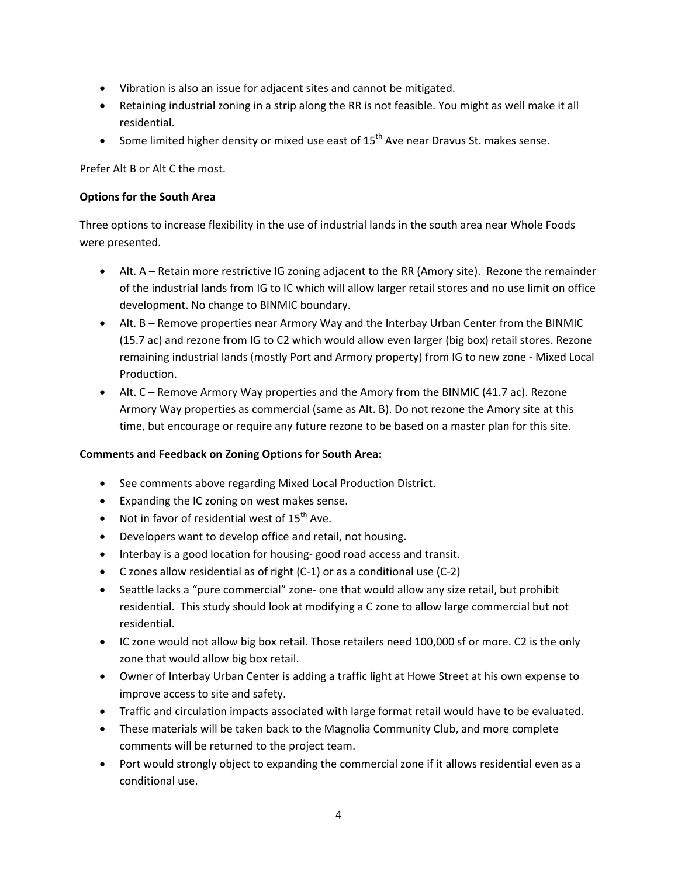- Vibration is also an issue for adjacent sites and cannot be mitigated.
- Retaining industrial zoning in a strip along the RR is not feasible. You might as well make it all residential.
- Some limited higher density or mixed use east of  $15<sup>th</sup>$  Ave near Dravus St. makes sense.

Prefer Alt B or Alt C the most.

#### **Options for the South Area**

Three options to increase flexibility in the use of industrial lands in the south area near Whole Foods were presented.

- Alt. A Retain more restrictive IG zoning adjacent to the RR (Amory site). Rezone the remainder of the industrial lands from IG to IC which will allow larger retail stores and no use limit on office development. No change to BINMIC boundary.
- Alt. B Remove properties near Armory Way and the Interbay Urban Center from the BINMIC (15.7 ac) and rezone from IG to C2 which would allow even larger (big box) retail stores. Rezone remaining industrial lands (mostly Port and Armory property) from IG to new zone ‐ Mixed Local Production.
- Alt. C Remove Armory Way properties and the Amory from the BINMIC (41.7 ac). Rezone Armory Way properties as commercial (same as Alt. B). Do not rezone the Amory site at this time, but encourage or require any future rezone to be based on a master plan for this site.

# **Comments and Feedback on Zoning Options for South Area:**

- See comments above regarding Mixed Local Production District.
- Expanding the IC zoning on west makes sense.
- Not in favor of residential west of  $15^{th}$  Ave.
- Developers want to develop office and retail, not housing.
- Interbay is a good location for housing-good road access and transit.
- C zones allow residential as of right (C‐1) or as a conditional use (C‐2)
- Seattle lacks a "pure commercial" zone‐ one that would allow any size retail, but prohibit residential. This study should look at modifying a C zone to allow large commercial but not residential.
- IC zone would not allow big box retail. Those retailers need 100,000 sf or more. C2 is the only zone that would allow big box retail.
- Owner of Interbay Urban Center is adding a traffic light at Howe Street at his own expense to improve access to site and safety.
- Traffic and circulation impacts associated with large format retail would have to be evaluated.
- These materials will be taken back to the Magnolia Community Club, and more complete comments will be returned to the project team.
- Port would strongly object to expanding the commercial zone if it allows residential even as a conditional use.